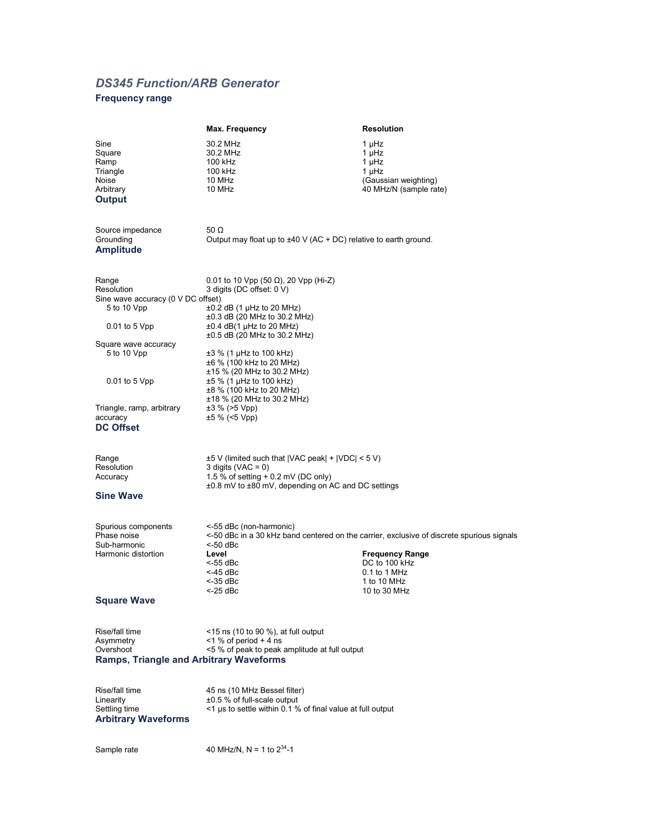## *DS345 Function/ARB Generator*

## **Frequency range**

|                                                                                             | Max. Frequency                                                                                                                                                                                                    | <b>Resolution</b>                                                                                                                                                                   |
|---------------------------------------------------------------------------------------------|-------------------------------------------------------------------------------------------------------------------------------------------------------------------------------------------------------------------|-------------------------------------------------------------------------------------------------------------------------------------------------------------------------------------|
| Sine<br>Square<br>Ramp<br>Triangle<br>Noise<br>Arbitrary<br><b>Output</b>                   | 30.2 MHz<br>30.2 MHz<br>100 kHz<br>100 kHz<br>10 MHz<br>10 MHz                                                                                                                                                    | 1 µHz<br>1 µHz<br>1 µHz<br>1 µHz<br>(Gaussian weighting)<br>40 MHz/N (sample rate)                                                                                                  |
| Source impedance<br>Grounding<br><b>Amplitude</b>                                           | 50 $\Omega$<br>Output may float up to $\pm 40$ V (AC + DC) relative to earth ground.                                                                                                                              |                                                                                                                                                                                     |
| Range<br>Resolution<br>Sine wave accuracy (0 V DC offset)<br>5 to 10 Vpp<br>$0.01$ to 5 Vpp | 0.01 to 10 Vpp (50 $\Omega$ ), 20 Vpp (Hi-Z)<br>3 digits (DC offset: 0 V)<br>$\pm 0.2$ dB (1 µHz to 20 MHz)<br>±0.3 dB (20 MHz to 30.2 MHz)<br>$\pm 0.4$ dB(1 µHz to 20 MHz)<br>$\pm 0.5$ dB (20 MHz to 30.2 MHz) |                                                                                                                                                                                     |
| Square wave accuracy<br>5 to 10 Vpp<br>$0.01$ to 5 Vpp                                      | ±3 % (1 µHz to 100 kHz)<br>±6 % (100 kHz to 20 MHz)<br>±15 % (20 MHz to 30.2 MHz)<br>±5 % (1 µHz to 100 kHz)                                                                                                      |                                                                                                                                                                                     |
| Triangle, ramp, arbitrary<br>accuracy<br><b>DC Offset</b>                                   | ±8 % (100 kHz to 20 MHz)<br>±18 % (20 MHz to 30.2 MHz)<br>$\pm 3$ % (>5 Vpp)<br>$±5$ % (<5 Vpp)                                                                                                                   |                                                                                                                                                                                     |
| Range<br>Resolution<br>Accuracy<br><b>Sine Wave</b>                                         | $\pm 5$ V (limited such that  VAC peak  +  VDC  < 5 V)<br>3 digits ( $VAC = 0$ )<br>1.5 % of setting + 0.2 mV (DC only)<br>±0.8 mV to ±80 mV, depending on AC and DC settings                                     |                                                                                                                                                                                     |
| Spurious components<br>Phase noise<br>Sub-harmonic<br>Harmonic distortion                   | <-55 dBc (non-harmonic)<br><-50 dBc<br>Level<br><-55 dBc<br><-45 dBc<br>$<$ -35 dBc<br><-25 dBc                                                                                                                   | <-50 dBc in a 30 kHz band centered on the carrier, exclusive of discrete spurious signals<br><b>Frequency Range</b><br>DC to 100 kHz<br>0.1 to 1 MHz<br>1 to 10 MHz<br>10 to 30 MHz |
| <b>Square Wave</b>                                                                          |                                                                                                                                                                                                                   |                                                                                                                                                                                     |
| Rise/fall time<br>Asymmetry<br>Overshoot<br><b>Ramps, Triangle and Arbitrary Waveforms</b>  | $\le$ 15 ns (10 to 90 %), at full output<br>$<$ 1 % of period + 4 ns<br><5 % of peak to peak amplitude at full output                                                                                             |                                                                                                                                                                                     |
| Rise/fall time<br>Linearity<br>Settling time<br><b>Arbitrary Waveforms</b>                  | 45 ns (10 MHz Bessel filter)<br>±0.5 % of full-scale output<br><1 µs to settle within 0.1 % of final value at full output                                                                                         |                                                                                                                                                                                     |
| Sample rate                                                                                 | 40 MHz/N, N = 1 to $2^{34}$ -1                                                                                                                                                                                    |                                                                                                                                                                                     |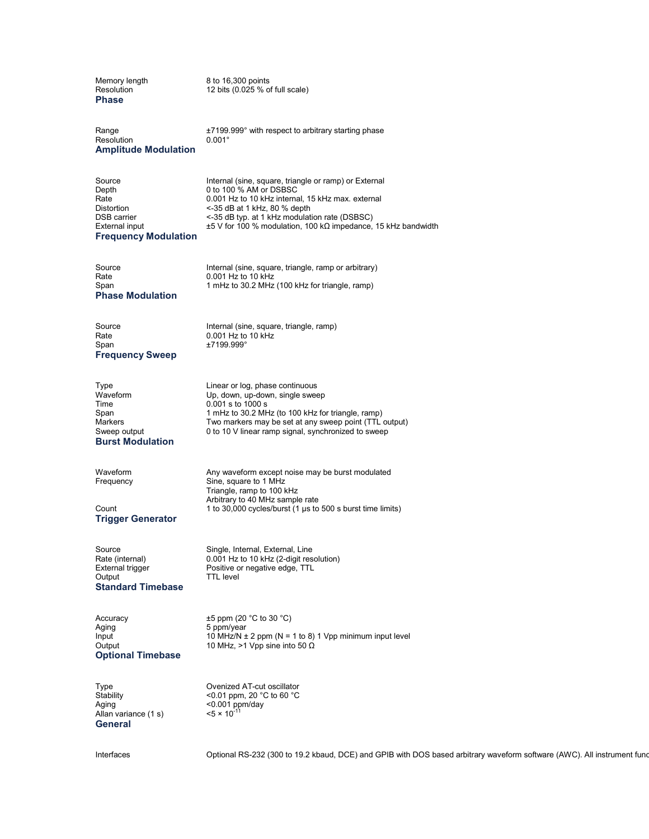Memory length 8 to 16,300 points<br>Resolution 12 bits (0.025 % of 12 bits  $(0.025 %$  of full scale) **Phase** Range  $\pm 7199.999^\circ$  with respect to arbitrary starting phase<br>Resolution  $0.001^\circ$ Resolution **Amplitude Modulation** Source **Internal (sine, square, triangle or ramp) or External**<br>Depth **Depth** 0 to 100 % AM or DSBSC Depth 0 to 100 % AM or DSBSC<br>Rate 0.001 Hz to 10 kHz interna Rate 0.001 Hz to 10 kHz internal, 15 kHz max. external  $<$ -35 dB at 1 kHz, 80 % depth DSB carrier  $\leq$ -35 dB typ. at 1 kHz modulation rate (DSBSC)<br>External input  $\leq$  5 V for 100 % modulation, 100 kΩ impedance, ±5 V for 100 % modulation, 100 kΩ impedance, 15 kHz bandwidth **Frequency Modulation** Source Internal (sine, square, triangle, ramp or arbitrary) Rate 0.001 Hz to 10 kHz<br>Span 1 mHz to 30.2 MHz 1 mHz to 30.2 MHz (100 kHz for triangle, ramp) **Phase Modulation** Source Internal (sine, square, triangle, ramp)  $0.001$  Hz to 10 kHz Span  $\pm 7199.999^\circ$ **Frequency Sweep** Type **Linear or log, phase continuous**<br>
Waveform **Continuous** Up, down, up-down, single swee Up, down, up-down, single sweep Time 0.001 s to 1000 s<br>Span 1 mHz to 30.2 MH Span 1 mHz to 30.2 MHz (to 100 kHz for triangle, ramp)<br>Markers 1 Markers may be set at any sweep point (TTL Markers Two markers may be set at any sweep point (TTL output)<br>Sweep output 0 to 10 V linear ramp signal, synchronized to sweep 0 to 10 V linear ramp signal, synchronized to sweep **Burst Modulation** Waveform May waveform except noise may be burst modulated<br>
Frequency Sine, square to 1 MHz Sine, square to 1 MHz Triangle, ramp to 100 kHz Arbitrary to 40 MHz sample rate Count 1 to 30,000 cycles/burst (1 µs to 500 s burst time limits) **Trigger Generator** Source Single, Internal, External, Line<br>Rate (internal) 0.001 Hz to 10 kHz (2-digit res Rate (internal) 0.001 Hz to 10 kHz (2-digit resolution)<br>External trigger Positive or negative edge, TTL External trigger **Positive or negative edge, TTL**<br>
Output **Property** TTL level TTL level **Standard Timebase** Accuracy  $\pm 5$  ppm (20 °C to 30 °C)<br>Aging 5 ppm/year 5 ppm/year Input 10 MHz/N  $\pm$  2 ppm (N = 1 to 8) 1 Vpp minimum input level<br>Output 10 MHz, >1 Vpp sine into 50  $\Omega$ 10 MHz, >1 Vpp sine into 50 Ω **Optional Timebase** Type Ovenized AT-cut oscillator Stability <0.01 ppm, 20 °C to 60 °C<br>Aging <0.001 ppm/day  $<$ 0.001 ppm/day<br> $<$ 5 × 10<sup>-11</sup> Allan variance (1 s) **General**

Interfaces **Construent RS-232 (300 to 19.2 kbaud, DCE)** and GPIB with DOS based arbitrary waveform software (AWC). All instrument functions of two CDS based arbitrary waveform software (AWC). All instrument functions of th